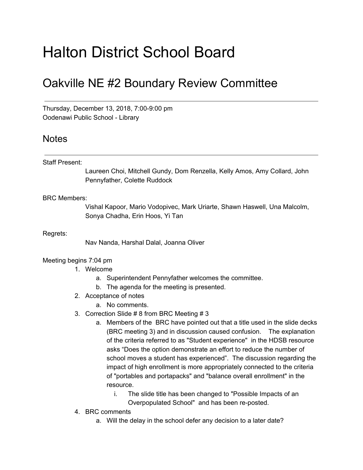# Halton District School Board

## Oakville NE #2 Boundary Review Committee

Thursday, December 13, 2018, 7:00-9:00 pm Oodenawi Public School - Library

### Notes

#### Staff Present:

Laureen Choi, Mitchell Gundy, Dom Renzella, Kelly Amos, Amy Collard, John Pennyfather, Colette Ruddock

#### BRC Members:

Vishal Kapoor, Mario Vodopivec, Mark Uriarte, Shawn Haswell, Una Malcolm, Sonya Chadha, Erin Hoos, Yi Tan

Regrets:

Nav Nanda, Harshal Dalal, Joanna Oliver

#### Meeting begins 7:04 pm

- 1. Welcome
	- a. Superintendent Pennyfather welcomes the committee.
	- b. The agenda for the meeting is presented.
- 2. Acceptance of notes
	- a. No comments.
- 3. Correction Slide # 8 from BRC Meeting # 3
	- a. Members of the BRC have pointed out that a title used in the slide decks (BRC meeting 3) and in discussion caused confusion. The explanation of the criteria referred to as "Student experience" in the HDSB resource asks "Does the option demonstrate an effort to reduce the number of school moves a student has experienced". The discussion regarding the impact of high enrollment is more appropriately connected to the criteria of "portables and portapacks" and "balance overall enrollment" in the resource.
		- i. The slide title has been changed to "Possible Impacts of an Overpopulated School" and has been re-posted.
- 4. BRC comments
	- a. Will the delay in the school defer any decision to a later date?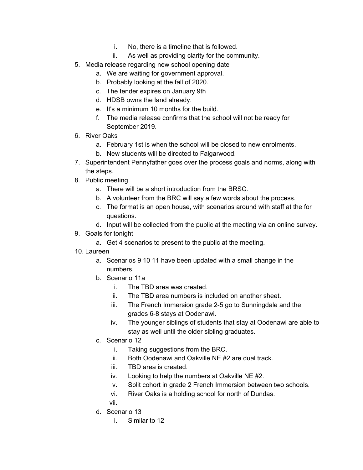- i. No, there is a timeline that is followed.
- ii. As well as providing clarity for the community.
- 5. Media release regarding new school opening date
	- a. We are waiting for government approval.
	- b. Probably looking at the fall of 2020.
	- c. The tender expires on January 9th
	- d. HDSB owns the land already.
	- e. It's a minimum 10 months for the build.
	- f. The media release confirms that the school will not be ready for September 2019.
- 6. River Oaks
	- a. February 1st is when the school will be closed to new enrolments.
	- b. New students will be directed to Falgarwood.
- 7. Superintendent Pennyfather goes over the process goals and norms, along with the steps.
- 8. Public meeting
	- a. There will be a short introduction from the BRSC.
	- b. A volunteer from the BRC will say a few words about the process.
	- c. The format is an open house, with scenarios around with staff at the for questions.
	- d. Input will be collected from the public at the meeting via an online survey.
- 9. Goals for tonight
	- a. Get 4 scenarios to present to the public at the meeting.
- 10. Laureen
	- a. Scenarios 9 10 11 have been updated with a small change in the numbers.
	- b. Scenario 11a
		- i. The TBD area was created.
		- ii. The TBD area numbers is included on another sheet.
		- iii. The French Immersion grade 2-5 go to Sunningdale and the grades 6-8 stays at Oodenawi.
		- iv. The younger siblings of students that stay at Oodenawi are able to stay as well until the older sibling graduates.
	- c. Scenario 12
		- i. Taking suggestions from the BRC.
		- ii. Both Oodenawi and Oakville NE #2 are dual track.
		- iii. TBD area is created.
		- iv. Looking to help the numbers at Oakville NE #2.
		- v. Split cohort in grade 2 French Immersion between two schools.
		- vi. River Oaks is a holding school for north of Dundas.
		- vii.
	- d. Scenario 13
		- i. Similar to 12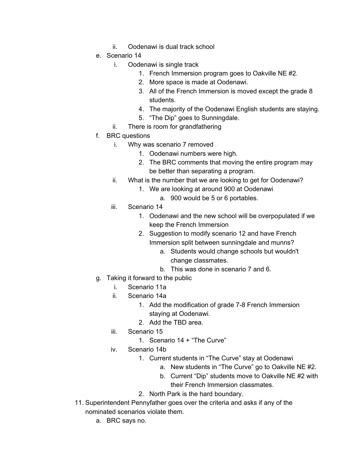- ii. Oodenawi is dual track school
- e. Scenario 14
	- i. Oodenawi is single track
		- 1. French Immersion program goes to Oakville NE #2.
		- 2. More space is made at Oodenawi.
		- 3. All of the French Immersion is moved except the grade 8 students.
		- 4. The majority of the Oodenawi English students are staying.
		- 5. "The Dip" goes to Sunningdale.
	- ii. There is room for grandfathering
- f. BRC questions
	- i. Why was scenario 7 removed
		- 1. Oodenawi numbers were high.
		- 2. The BRC comments that moving the entire program may be better than separating a program.
	- ii. What is the number that we are looking to get for Oodenawi?
		- 1. We are looking at around 900 at Oodenawi
			- a. 900 would be 5 or 6 portables.
	- iii. Scenario 14
		- 1. Oodenawi and the new school will be overpopulated if we keep the French Immersion
		- 2. Suggestion to modify scenario 12 and have French Immersion split between sunningdale and munns?
			- a. Students would change schools but wouldn't change classmates.
			- b. This was done in scenario 7 and 6.
- g. Taking it forward to the public
	- i. Scenario 11a
	- ii. Scenario 14a
		- 1. Add the modification of grade 7-8 French Immersion staying at Oodenawi.
		- 2. Add the TBD area.
	- iii. Scenario 15
		- 1. Scenario 14 + "The Curve"
	- iv. Scenario 14b
		- 1. Current students in "The Curve" stay at Oodenawi
			- a. New students in "The Curve" go to Oakville NE #2.
			- b. Current "Dip" students move to Oakville NE #2 with their French Immersion classmates.
		- 2. North Park is the hard boundary.
- 11. Superintendent Pennyfather goes over the criteria and asks if any of the nominated scenarios violate them.
	- a. BRC says no.